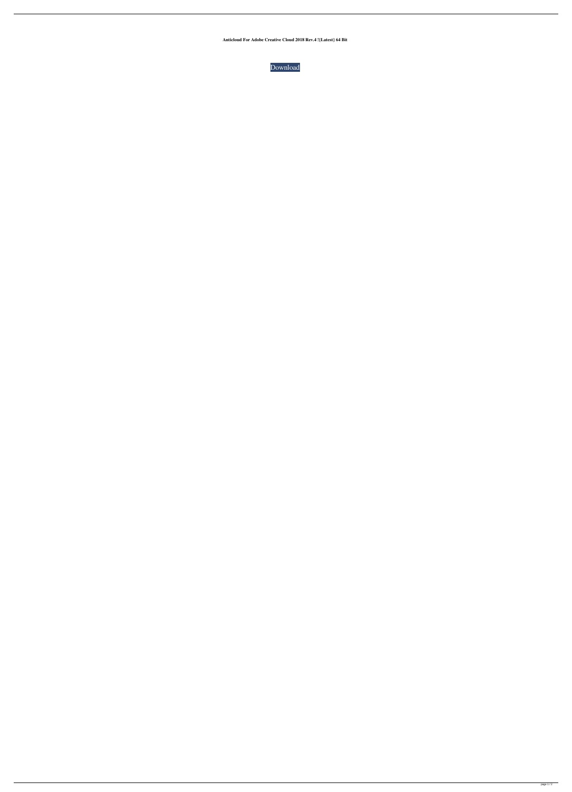**Anticloud For Adobe Creative Cloud 2018 Rev.4 !{Latest} 64 Bit**